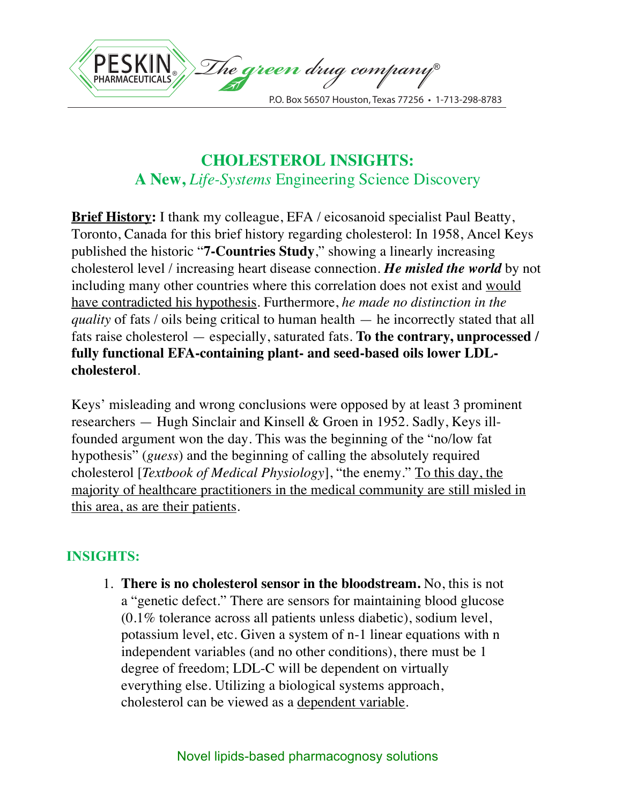

## **CHOLESTEROL INSIGHTS: A New,** *Life-Systems* Engineering Science Discovery

**Brief History:** I thank my colleague, EFA / eicosanoid specialist Paul Beatty, Toronto, Canada for this brief history regarding cholesterol: In 1958, Ancel Keys published the historic "**7-Countries Study**," showing a linearly increasing cholesterol level / increasing heart disease connection. *He misled the world* by not including many other countries where this correlation does not exist and would have contradicted his hypothesis. Furthermore, *he made no distinction in the quality* of fats / oils being critical to human health — he incorrectly stated that all fats raise cholesterol — especially, saturated fats. **To the contrary, unprocessed / fully functional EFA-containing plant- and seed-based oils lower LDLcholesterol**.

Keys' misleading and wrong conclusions were opposed by at least 3 prominent researchers — Hugh Sinclair and Kinsell & Groen in 1952. Sadly, Keys illfounded argument won the day. This was the beginning of the "no/low fat hypothesis" (*guess*) and the beginning of calling the absolutely required cholesterol [*Textbook of Medical Physiology*], "the enemy." To this day, the majority of healthcare practitioners in the medical community are still misled in this area, as are their patients.

## **INSIGHTS:**

1. **There is no cholesterol sensor in the bloodstream.** No, this is not a "genetic defect." There are sensors for maintaining blood glucose (0.1% tolerance across all patients unless diabetic), sodium level, potassium level, etc. Given a system of n-1 linear equations with n independent variables (and no other conditions), there must be 1 degree of freedom; LDL-C will be dependent on virtually everything else. Utilizing a biological systems approach, cholesterol can be viewed as a dependent variable.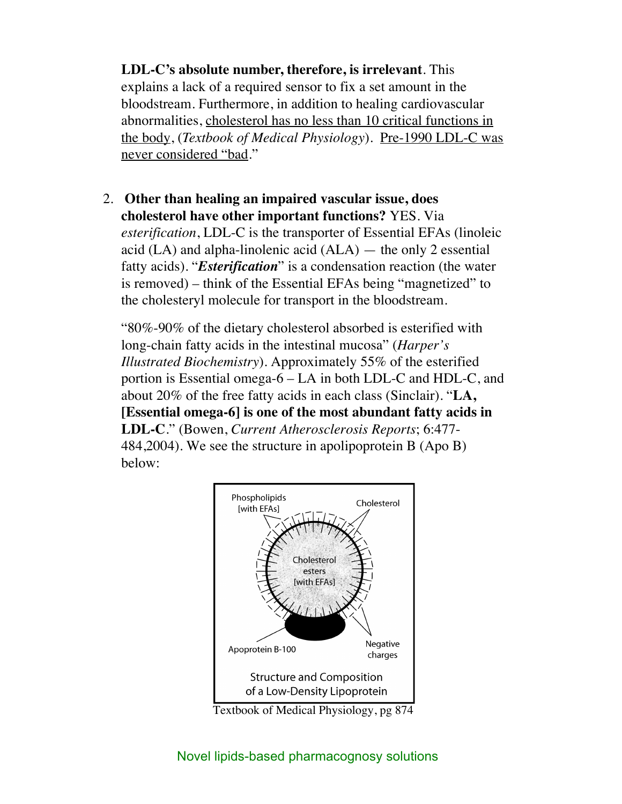**LDL-C's absolute number, therefore, is irrelevant**. This explains a lack of a required sensor to fix a set amount in the bloodstream. Furthermore, in addition to healing cardiovascular abnormalities, cholesterol has no less than 10 critical functions in the body, (*Textbook of Medical Physiology*). Pre-1990 LDL-C was never considered "bad."

2. **Other than healing an impaired vascular issue, does cholesterol have other important functions?** YES. Via *esterification*, LDL-C is the transporter of Essential EFAs (linoleic acid (LA) and alpha-linolenic acid (ALA) — the only 2 essential fatty acids). "*Esterification*" is a condensation reaction (the water is removed) – think of the Essential EFAs being "magnetized" to the cholesteryl molecule for transport in the bloodstream.

"80%-90% of the dietary cholesterol absorbed is esterified with long-chain fatty acids in the intestinal mucosa" (*Harper's Illustrated Biochemistry*). Approximately 55% of the esterified portion is Essential omega-6 – LA in both LDL-C and HDL-C, and about 20% of the free fatty acids in each class (Sinclair). "**LA, [Essential omega-6] is one of the most abundant fatty acids in LDL-C**." (Bowen, *Current Atherosclerosis Reports*; 6:477- 484,2004). We see the structure in apolipoprotein B (Apo B) below:



Textbook of Medical Physiology, pg 874

## Novel lipids-based pharmacognosy solutions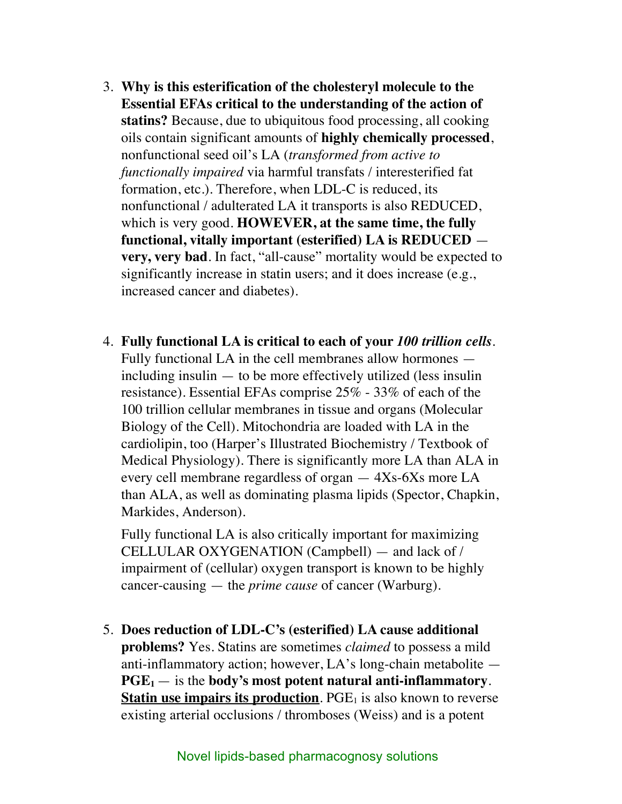- 3. **Why is this esterification of the cholesteryl molecule to the Essential EFAs critical to the understanding of the action of statins?** Because, due to ubiquitous food processing, all cooking oils contain significant amounts of **highly chemically processed**, nonfunctional seed oil's LA (*transformed from active to functionally impaired* via harmful transfats / interesterified fat formation, etc.). Therefore, when LDL-C is reduced, its nonfunctional / adulterated LA it transports is also REDUCED, which is very good. **HOWEVER, at the same time, the fully functional, vitally important (esterified) LA is REDUCED very, very bad**. In fact, "all-cause" mortality would be expected to significantly increase in statin users; and it does increase (e.g., increased cancer and diabetes).
- 4. **Fully functional LA is critical to each of your** *100 trillion cells*. Fully functional LA in the cell membranes allow hormones including insulin — to be more effectively utilized (less insulin resistance). Essential EFAs comprise 25% - 33% of each of the 100 trillion cellular membranes in tissue and organs (Molecular Biology of the Cell). Mitochondria are loaded with LA in the cardiolipin, too (Harper's Illustrated Biochemistry / Textbook of Medical Physiology). There is significantly more LA than ALA in every cell membrane regardless of organ — 4Xs-6Xs more LA than ALA, as well as dominating plasma lipids (Spector, Chapkin, Markides, Anderson).

Fully functional LA is also critically important for maximizing CELLULAR OXYGENATION (Campbell) — and lack of / impairment of (cellular) oxygen transport is known to be highly cancer-causing — the *prime cause* of cancer (Warburg).

5. **Does reduction of LDL-C's (esterified) LA cause additional problems?** Yes. Statins are sometimes *claimed* to possess a mild anti-inflammatory action; however, LA's long-chain metabolite —  $PGE_1$  — is the **body's most potent natural anti-inflammatory**. **Statin use impairs its production**. PGE<sub>1</sub> is also known to reverse existing arterial occlusions / thromboses (Weiss) and is a potent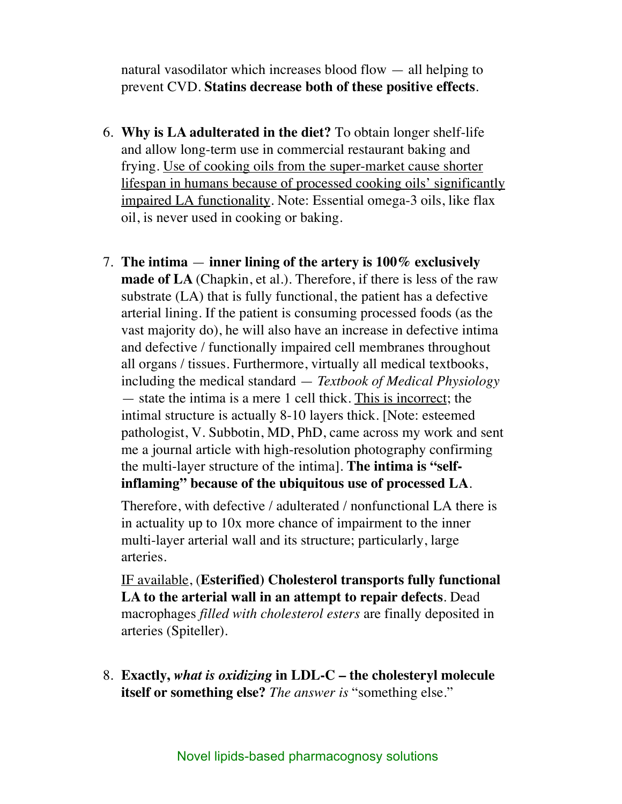natural vasodilator which increases blood flow — all helping to prevent CVD. **Statins decrease both of these positive effects**.

- 6. **Why is LA adulterated in the diet?** To obtain longer shelf-life and allow long-term use in commercial restaurant baking and frying. Use of cooking oils from the super-market cause shorter lifespan in humans because of processed cooking oils' significantly impaired LA functionality. Note: Essential omega-3 oils, like flax oil, is never used in cooking or baking.
- 7. **The intima inner lining of the artery is 100% exclusively made of LA** (Chapkin, et al.). Therefore, if there is less of the raw substrate (LA) that is fully functional, the patient has a defective arterial lining. If the patient is consuming processed foods (as the vast majority do), he will also have an increase in defective intima and defective / functionally impaired cell membranes throughout all organs / tissues. Furthermore, virtually all medical textbooks, including the medical standard — *Textbook of Medical Physiology*  — state the intima is a mere 1 cell thick. This is incorrect; the intimal structure is actually 8-10 layers thick. [Note: esteemed pathologist, V. Subbotin, MD, PhD, came across my work and sent me a journal article with high-resolution photography confirming the multi-layer structure of the intima]. **The intima is "selfinflaming" because of the ubiquitous use of processed LA**.

Therefore, with defective / adulterated / nonfunctional LA there is in actuality up to 10x more chance of impairment to the inner multi-layer arterial wall and its structure; particularly, large arteries.

IF available, (**Esterified) Cholesterol transports fully functional LA to the arterial wall in an attempt to repair defects**. Dead macrophages *filled with cholesterol esters* are finally deposited in arteries (Spiteller).

8. **Exactly,** *what is oxidizing* **in LDL-C – the cholesteryl molecule itself or something else?** *The answer is* "something else."